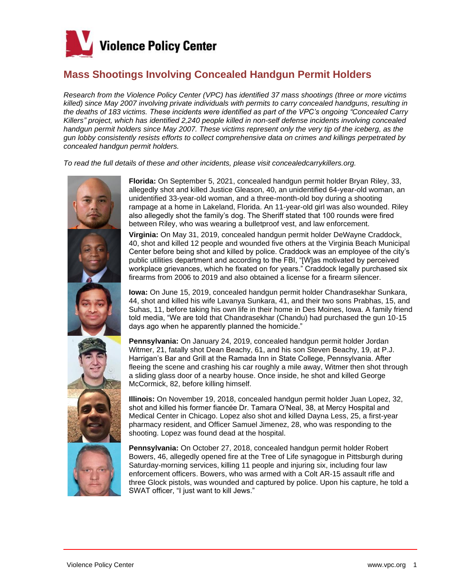

## **Mass Shootings Involving Concealed Handgun Permit Holders**

*Research from the Violence Policy Center (VPC) has identified 37 mass shootings (three or more victims killed) since May 2007 involving private individuals with permits to carry concealed handguns, resulting in the deaths of 183 victims. These incidents were identified as part of the VPC's ongoing "Concealed Carry Killers" project, which has identified 2,240 people killed in non-self defense incidents involving concealed handgun permit holders since May 2007. These victims represent only the very tip of the iceberg, as the gun lobby consistently resists efforts to collect comprehensive data on crimes and killings perpetrated by concealed handgun permit holders.*

*To read the full details of these and other incidents, please visit concealedcarrykillers.org.*







**Florida:** On September 5, 2021, concealed handgun permit holder Bryan Riley, 33, allegedly shot and killed Justice Gleason, 40, an unidentified 64-year-old woman, an unidentified 33-year-old woman, and a three-month-old boy during a shooting rampage at a home in Lakeland, Florida. An 11-year-old girl was also wounded. Riley also allegedly shot the family's dog. The Sheriff stated that 100 rounds were fired between Riley, who was wearing a bulletproof vest, and law enforcement.

**Virginia:** On May 31, 2019, concealed handgun permit holder DeWayne Craddock, 40, shot and killed 12 people and wounded five others at the Virginia Beach Municipal Center before being shot and killed by police. Craddock was an employee of the city's public utilities department and according to the FBI, "[W]as motivated by perceived workplace grievances, which he fixated on for years." Craddock legally purchased six firearms from 2006 to 2019 and also obtained a license for a firearm silencer.

**Iowa:** On June 15, 2019, concealed handgun permit holder Chandrasekhar Sunkara, 44, shot and killed his wife Lavanya Sunkara, 41, and their two sons Prabhas, 15, and Suhas, 11, before taking his own life in their home in Des Moines, Iowa. A family friend told media, "We are told that Chandrasekhar (Chandu) had purchased the gun 10-15 days ago when he apparently planned the homicide."

**Pennsylvania:** On January 24, 2019, concealed handgun permit holder Jordan Witmer, 21, fatally shot Dean Beachy, 61, and his son Steven Beachy, 19, at P.J. Harrigan's Bar and Grill at the Ramada Inn in State College, Pennsylvania. After fleeing the scene and crashing his car roughly a mile away, Witmer then shot through a sliding glass door of a nearby house. Once inside, he shot and killed George McCormick, 82, before killing himself.

**Illinois:** On November 19, 2018, concealed handgun permit holder Juan Lopez, 32, shot and killed his former fiancée Dr. Tamara O'Neal, 38, at Mercy Hospital and Medical Center in Chicago. Lopez also shot and killed Dayna Less, 25, a first-year pharmacy resident, and Officer Samuel Jimenez, 28, who was responding to the shooting. Lopez was found dead at the hospital.

**Pennsylvania:** On October 27, 2018, concealed handgun permit holder Robert Bowers, 46, allegedly opened fire at the Tree of Life synagogue in Pittsburgh during Saturday-morning services, killing 11 people and injuring six, including four law enforcement officers. Bowers, who was armed with a Colt AR-15 assault rifle and three Glock pistols, was wounded and captured by police. Upon his capture, he told a SWAT officer, "I just want to kill Jews."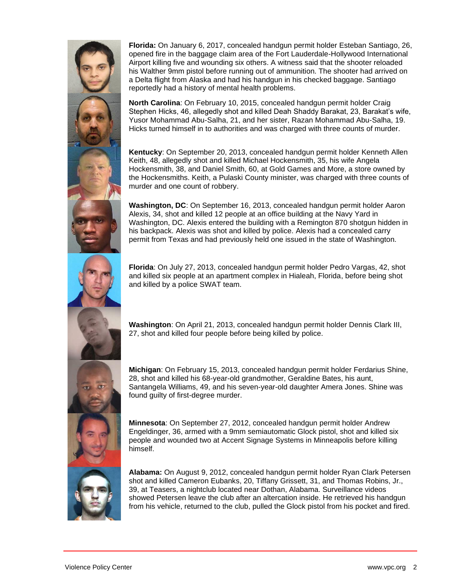

**Florida:** On January 6, 2017, concealed handgun permit holder Esteban Santiago, 26, opened fire in the baggage claim area of the Fort Lauderdale-Hollywood International Airport killing five and wounding six others. A witness said that the shooter reloaded his Walther 9mm pistol before running out of ammunition. The shooter had arrived on a Delta flight from Alaska and had his handgun in his checked baggage. Santiago reportedly had a history of mental health problems.

**North Carolina**: On February 10, 2015, concealed handgun permit holder Craig Stephen Hicks, 46, allegedly shot and killed Deah Shaddy Barakat, 23, Barakat's wife, Yusor Mohammad Abu-Salha, 21, and her sister, Razan Mohammad Abu-Salha, 19. Hicks turned himself in to authorities and was charged with three counts of murder.

**Kentucky**: On September 20, 2013, concealed handgun permit holder Kenneth Allen Keith, 48, allegedly shot and killed Michael Hockensmith, 35, his wife Angela Hockensmith, 38, and Daniel Smith, 60, at Gold Games and More, a store owned by the Hockensmiths. Keith, a Pulaski County minister, was charged with three counts of murder and one count of robbery.

**Washington, DC**: On September 16, 2013, concealed handgun permit holder Aaron Alexis, 34, shot and killed 12 people at an office building at the Navy Yard in Washington, DC. Alexis entered the building with a Remington 870 shotgun hidden in his backpack. Alexis was shot and killed by police. Alexis had a concealed carry permit from Texas and had previously held one issued in the state of Washington.

**Florida**: On July 27, 2013, concealed handgun permit holder Pedro Vargas, 42, shot and killed six people at an apartment complex in Hialeah, Florida, before being shot and killed by a police SWAT team.

**Washington**: On April 21, 2013, concealed handgun permit holder Dennis Clark III, 27, shot and killed four people before being killed by police.

**Michigan**: On February 15, 2013, concealed handgun permit holder Ferdarius Shine, 28, shot and killed his 68-year-old grandmother, Geraldine Bates, his aunt, Santangela Williams, 49, and his seven-year-old daughter Amera Jones. Shine was found guilty of first-degree murder.



**Minnesota**: On September 27, 2012, concealed handgun permit holder Andrew Engeldinger, 36, armed with a 9mm semiautomatic Glock pistol, shot and killed six people and wounded two at Accent Signage Systems in Minneapolis before killing himself.

**Alabama:** On August 9, 2012, concealed handgun permit holder Ryan Clark Petersen shot and killed Cameron Eubanks, 20, Tiffany Grissett, 31, and Thomas Robins, Jr., 39, at Teasers, a nightclub located near Dothan, Alabama. Surveillance videos showed Petersen leave the club after an altercation inside. He retrieved his handgun from his vehicle, returned to the club, pulled the Glock pistol from his pocket and fired.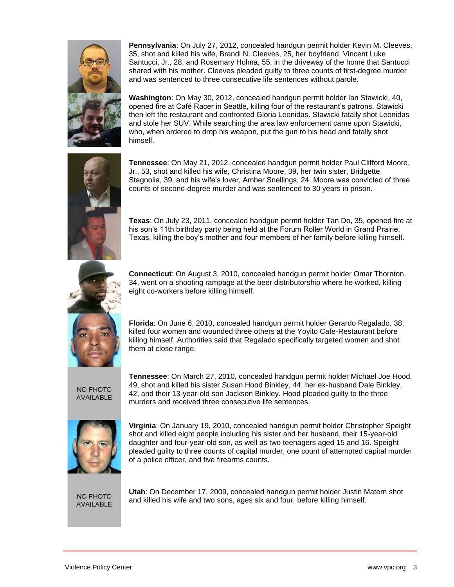

**Pennsylvania**: On July 27, 2012, concealed handgun permit holder Kevin M. Cleeves, 35, shot and killed his wife, Brandi N. Cleeves, 25, her boyfriend, Vincent Luke Santucci, Jr., 28, and Rosemary Holma, 55, in the driveway of the home that Santucci shared with his mother. Cleeves pleaded guilty to three counts of first-degree murder and was sentenced to three consecutive life sentences without parole.

**Washington**: On May 30, 2012, concealed handgun permit holder Ian Stawicki, 40, opened fire at Café Racer in Seattle, killing four of the restaurant's patrons. Stawicki then left the restaurant and confronted Gloria Leonidas. Stawicki fatally shot Leonidas and stole her SUV. While searching the area law enforcement came upon Stawicki, who, when ordered to drop his weapon, put the gun to his head and fatally shot himself.



**Tennessee**: On May 21, 2012, concealed handgun permit holder Paul Clifford Moore, Jr., 53, shot and killed his wife, Christina Moore, 39, her twin sister, Bridgette Stagnolia, 39, and his wife's lover, Amber Snellings, 24. Moore was convicted of three counts of second-degree murder and was sentenced to 30 years in prison.

**Texas**: On July 23, 2011, concealed handgun permit holder Tan Do, 35, opened fire at his son's 11th birthday party being held at the Forum Roller World in Grand Prairie, Texas, killing the boy's mother and four members of her family before killing himself.



**Connecticut**: On August 3, 2010, concealed handgun permit holder Omar Thornton, 34, went on a shooting rampage at the beer distributorship where he worked, killing eight co-workers before killing himself.

**Florida**: On June 6, 2010, concealed handgun permit holder Gerardo Regalado, 38, killed four women and wounded three others at the Yoyito Cafe-Restaurant before killing himself. Authorities said that Regalado specifically targeted women and shot them at close range.

NO PHOTO **AVAILABLE**  **Tennessee**: On March 27, 2010, concealed handgun permit holder Michael Joe Hood, 49, shot and killed his sister Susan Hood Binkley, 44, her ex-husband Dale Binkley, 42, and their 13-year-old son Jackson Binkley. Hood pleaded guilty to the three murders and received three consecutive life sentences.



**Virginia**: On January 19, 2010, concealed handgun permit holder Christopher Speight shot and killed eight people including his sister and her husband, their 15-year-old daughter and four-year-old son, as well as two teenagers aged 15 and 16. Speight pleaded guilty to three counts of capital murder, one count of attempted capital murder of a police officer, and five firearms counts.

NO PHOTO **AVAILABLE**  **Utah**: On December 17, 2009, concealed handgun permit holder Justin Matern shot and killed his wife and two sons, ages six and four, before killing himself.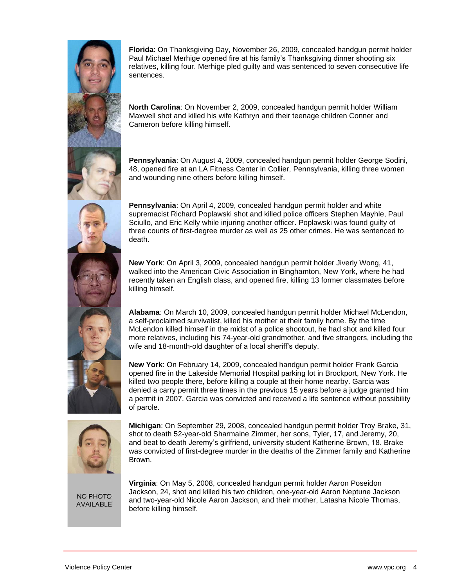

**Florida**: On Thanksgiving Day, November 26, 2009, concealed handgun permit holder Paul Michael Merhige opened fire at his family's Thanksgiving dinner shooting six relatives, killing four. Merhige pled guilty and was sentenced to seven consecutive life sentences.

**North Carolina**: On November 2, 2009, concealed handgun permit holder William Maxwell shot and killed his wife Kathryn and their teenage children Conner and Cameron before killing himself.

**Pennsylvania**: On August 4, 2009, concealed handgun permit holder George Sodini, 48, opened fire at an LA Fitness Center in Collier, Pennsylvania, killing three women and wounding nine others before killing himself.

**Pennsylvania**: On April 4, 2009, concealed handgun permit holder and white supremacist Richard Poplawski shot and killed police officers Stephen Mayhle, Paul Sciullo, and Eric Kelly while injuring another officer. Poplawski was found guilty of three counts of first-degree murder as well as 25 other crimes. He was sentenced to death.

**New York**: On April 3, 2009, concealed handgun permit holder Jiverly Wong, 41, walked into the American Civic Association in Binghamton, New York, where he had recently taken an English class, and opened fire, killing 13 former classmates before killing himself.

**Alabama**: On March 10, 2009, concealed handgun permit holder Michael McLendon, a self-proclaimed survivalist, killed his mother at their family home. By the time McLendon killed himself in the midst of a police shootout, he had shot and killed four more relatives, including his 74-year-old grandmother, and five strangers, including the wife and 18-month-old daughter of a local sheriff's deputy.

**New York**: On February 14, 2009, concealed handgun permit holder Frank Garcia opened fire in the Lakeside Memorial Hospital parking lot in Brockport, New York. He killed two people there, before killing a couple at their home nearby. Garcia was denied a carry permit three times in the previous 15 years before a judge granted him a permit in 2007. Garcia was convicted and received a life sentence without possibility of parole.



**Michigan**: On September 29, 2008, concealed handgun permit holder Troy Brake, 31, shot to death 52-year-old Sharmaine Zimmer, her sons, Tyler, 17, and Jeremy, 20, and beat to death Jeremy's girlfriend, university student Katherine Brown, 18. Brake was convicted of first-degree murder in the deaths of the Zimmer family and Katherine Brown.

NO PHOTO **AVAILABLE** 

**Virginia**: On May 5, 2008, concealed handgun permit holder Aaron Poseidon Jackson, 24, shot and killed his two children, one-year-old Aaron Neptune Jackson and two-year-old Nicole Aaron Jackson, and their mother, Latasha Nicole Thomas, before killing himself.